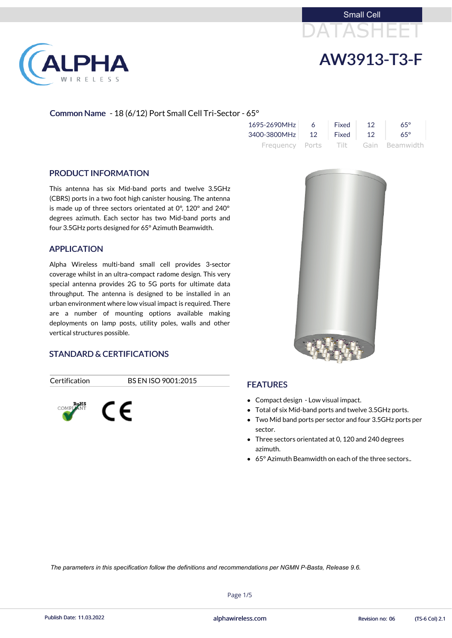



### Common Name - 18 (6/12) Port Small Cell Tri-Sector - 65°

| 1695-2690MHz             | - 6 - | Fixed | 12 <sup>°</sup> | $65^\circ$                          |
|--------------------------|-------|-------|-----------------|-------------------------------------|
| 3400-3800MHz 12 Fixed 12 |       |       |                 | $65^\circ$                          |
|                          |       |       |                 | Frequency Ports Tilt Gain Beamwidth |

#### PRODUCT INFORMATION

LPHA

RELESS

This antenna has six Mid-band ports and twelve 3.5GHz (CBRS) ports in a two foot high canister housing. The antenna is made up of three sectors orientated at 0°, 120° and 240° degrees azimuth. Each sector has two Mid-band ports and four 3.5GHz ports designed for 65° Azimuth Beamwidth.

#### APPLICATION

- Compact design Low visual impact.
- Total of six Mid-band ports and twelve 3.5GHz ports.
- Two Mid band ports per sector and four 3.5GHz ports per sector.
- Three sectors orientated at 0, 120 and 240 degrees azimuth.
- 65° Azimuth Beamwidth on each of the three sectors..

Alpha Wireless multi-band small cell provides 3-sector coverage whilst in an ultra-compact radome design. This very special antenna provides 2G to 5G ports for ultimate data throughput. The antenna is designed to be installed in an urban environment where low visual impact is required. There are a number of mounting options available making deployments on lamp posts, utility poles, walls and other vertical structures possible.

#### STANDARD & CERTIFICATIONS

Certification BS EN ISO 9001:2015





### FEATURES

Page 1/5

Publish Date: 11.03.2022 **Exercise Service Service Cole 2.1** alphawireless.com **Revision no: 06** (TS-6 Col) 2.1

*The parameters in this specification follow the definitions and recommendations per NGMN P-Basta, Release 9.6.*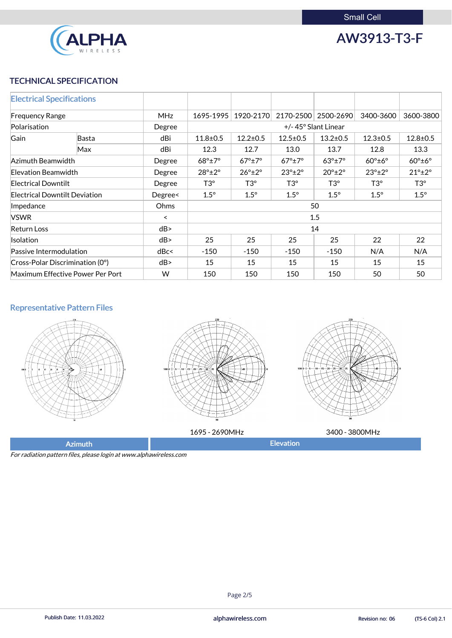

AW3913-T3-F

# TECHNICAL SPECIFICATION

| <b>Electrical Specifications</b> |                                         |            |                                                                                                                                |                        |                        |                        |                        |                        |
|----------------------------------|-----------------------------------------|------------|--------------------------------------------------------------------------------------------------------------------------------|------------------------|------------------------|------------------------|------------------------|------------------------|
| <b>Frequency Range</b>           |                                         | <b>MHz</b> | 1695-1995<br>1920-2170<br>2170-2500<br>2500-2690<br>3400-3600                                                                  |                        |                        |                        | 3600-3800              |                        |
| Polarisation                     |                                         | Degree     | +/-45° Slant Linear                                                                                                            |                        |                        |                        |                        |                        |
| Gain                             | Basta                                   | dBi        | $11.8 + 0.5$                                                                                                                   | $12.2 \pm 0.5$         | $12.5 \pm 0.5$         | $13.2 \pm 0.5$         | $12.3 \pm 0.5$         | $12.8 \pm 0.5$         |
|                                  | Max                                     | dBi        | 12.3                                                                                                                           | 12.7                   | 13.0                   | 13.7                   | 12.8                   | 13.3                   |
| Azimuth Beamwidth                |                                         | Degree     | $68^\circ \pm 7^\circ$<br>$67^\circ \pm 7^\circ$<br>$67^\circ \pm 7^\circ$<br>$63^\circ \pm 7^\circ$<br>$60^\circ \pm 6^\circ$ |                        |                        |                        | $60^\circ \pm 6^\circ$ |                        |
| Elevation Beamwidth              |                                         | Degree     | $28^\circ \pm 2^\circ$                                                                                                         | $26^\circ \pm 2^\circ$ | $23^\circ \pm 2^\circ$ | $20^\circ \pm 2^\circ$ | $23^\circ \pm 2^\circ$ | $21^\circ \pm 2^\circ$ |
| <b>Electrical Downtilt</b>       |                                         | Degree     | $T3^{\circ}$<br>$T3^{\circ}$<br>$T3^{\circ}$<br>$T3^{\circ}$<br>$T3^{\circ}$                                                   |                        |                        |                        | $T3^{\circ}$           |                        |
|                                  | <b>Electrical Downtilt Deviation</b>    | Degree<    | $1.5^\circ$<br>$1.5^\circ$<br>$1.5^\circ$<br>$1.5^\circ$<br>$1.5^\circ$<br>$1.5^\circ$                                         |                        |                        |                        |                        |                        |
| Impedance                        |                                         | Ohms       | 50                                                                                                                             |                        |                        |                        |                        |                        |
| <b>VSWR</b>                      |                                         | $\prec$    | 1.5                                                                                                                            |                        |                        |                        |                        |                        |
| <b>Return Loss</b>               |                                         | dB         | 14                                                                                                                             |                        |                        |                        |                        |                        |
| Isolation                        |                                         | dB         | 25<br>22<br>25<br>25<br>25<br>22                                                                                               |                        |                        |                        |                        |                        |
| Passive Intermodulation          |                                         | dBc<       | $-150$<br>$-150$<br>N/A<br>$-150$<br>$-150$                                                                                    |                        |                        |                        | N/A                    |                        |
|                                  | $\vert$ Cross-Polar Discrimination (0°) | dB         | 15<br>15<br>15<br>15<br>15<br>15                                                                                               |                        |                        |                        |                        |                        |
|                                  | Maximum Effective Power Per Port        | W          | 150<br>50<br>150<br>150<br>150                                                                                                 |                        |                        |                        | 50                     |                        |

# Representative Pattern Files







1695 - 2690MHz 3400 - 3800MHz

Azimuth **Elevation** 

For radiation pattern files, please login at www.alphawireless.com

#### Page 2/5

Publish Date: 11.03.2022 **Exercise Service Service Cole 2.1** alphawireless.com **Revision no: 06** (TS-6 Col) 2.1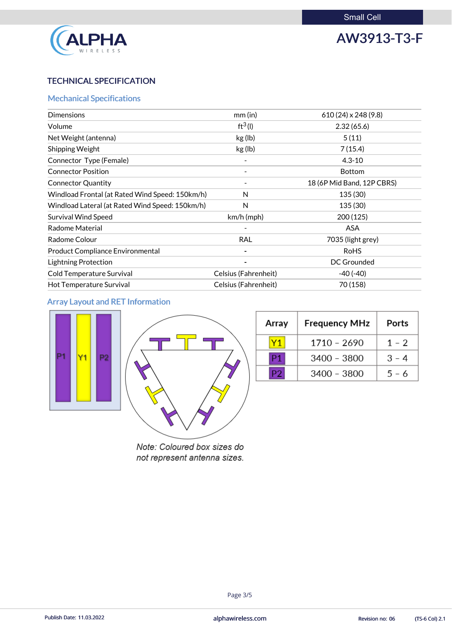

# AW3913-T3-F

# TECHNICAL SPECIFICATION

# Mechanical Specifications

| <b>Dimensions</b>                               | mm(in)               | $610(24) \times 248(9.8)$  |
|-------------------------------------------------|----------------------|----------------------------|
| Volume                                          | $ft^3(1)$            | 2.32(65.6)                 |
| Net Weight (antenna)                            | kg (lb)              | 5(11)                      |
| Shipping Weight                                 | kg (lb)              | 7(15.4)                    |
| Connector Type (Female)                         |                      | $4.3 - 10$                 |
| <b>Connector Position</b>                       |                      | <b>Bottom</b>              |
| <b>Connector Quantity</b>                       |                      | 18 (6P Mid Band, 12P CBRS) |
| Windload Frontal (at Rated Wind Speed: 150km/h) | N                    | 135 (30)                   |
| Windload Lateral (at Rated Wind Speed: 150km/h) | N                    | 135 (30)                   |
| <b>Survival Wind Speed</b>                      | $km/h$ (mph)         | 200(125)                   |
| <b>Radome Material</b>                          |                      | <b>ASA</b>                 |
| Radome Colour                                   | <b>RAL</b>           | 7035 (light grey)          |
| <b>Product Compliance Environmental</b>         |                      | <b>RoHS</b>                |
| <b>Lightning Protection</b>                     |                      | <b>DC Grounded</b>         |
| <b>Cold Temperature Survival</b>                | Celsius (Fahrenheit) | $-40(-40)$                 |
| Hot Temperature Survival                        | Celsius (Fahrenheit) | 70 (158)                   |

# Array Layout and RET Information



| Array | <b>Frequency MHz</b> | Ports   |
|-------|----------------------|---------|
|       | 1710 - 2690          | $1 - 2$ |
| P1    | $3400 - 3800$        | $3 - 4$ |
| P27   | 3400 - 3800          | $5 - 6$ |

Note: Coloured box sizes do not represent antenna sizes.

#### Page 3/5

Publish Date: 11.03.2022 **Exercise Service Service Cole 2.1** alphawireless.com **Revision no: 06** (TS-6 Col) 2.1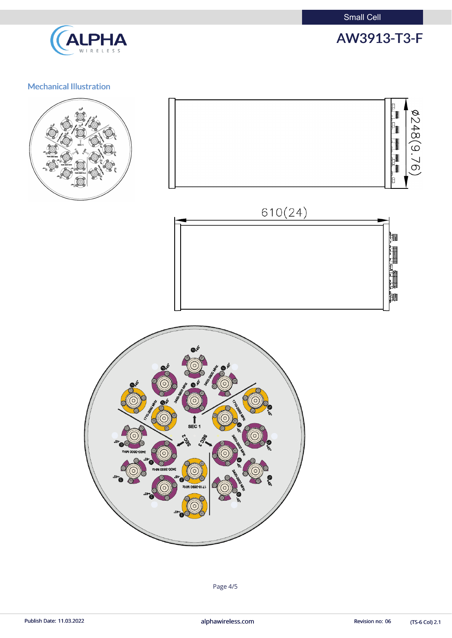Small Cell



# AW3913-T3-F

# Mechanical Illustration









(TS-6 Col) 2.1

Page 4/5

Publish Date: 11.03.2022 **alphawireless.com** and a series and a series of the Revision no: 06